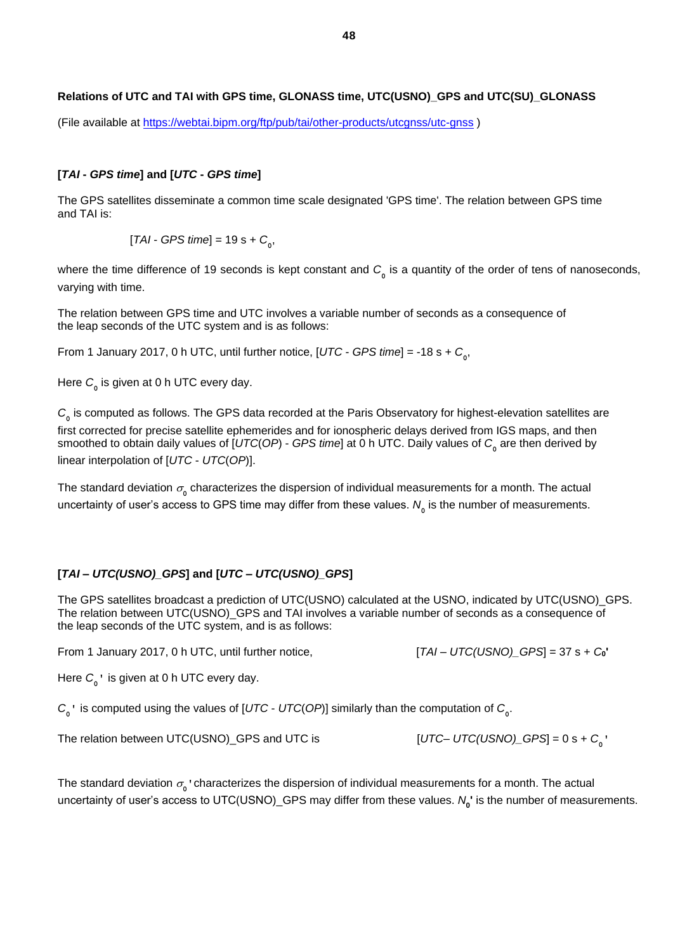# **Relations of UTC and TAI with GPS time, GLONASS time, UTC(USNO)\_GPS and UTC(SU)\_GLONASS**

(File available at <https://webtai.bipm.org/ftp/pub/tai/other-products/utcgnss/utc-gnss> )

### **[***TAI* **-** *GPS time***] and [***UTC* **-** *GPS time***]**

The GPS satellites disseminate a common time scale designated 'GPS time'. The relation between GPS time and TAI is:

 $[TAI - GPS time] = 19$  s +  $C_{0}$ ,

where the time difference of 19 seconds is kept constant and  $C_{_0}$  is a quantity of the order of tens of nanoseconds, varying with time.

The relation between GPS time and UTC involves a variable number of seconds as a consequence of the leap seconds of the UTC system and is as follows:

From 1 January 2017, 0 h UTC, until further notice, [*UTC* - *GPS time*] = -18 s + *C***<sup>0</sup>** ,

Here *C***<sup>0</sup>** is given at 0 h UTC every day.

 $C$ <sup>0</sup> is computed as follows. The GPS data recorded at the Paris Observatory for highest-elevation satellites are first corrected for precise satellite ephemerides and for ionospheric delays derived from IGS maps, and then smoothed to obtain daily values of [*UTC*(*OP*) - *GPS time*] at 0 h UTC. Daily values of *C***<sup>0</sup>** are then derived by linear interpolation of [*UTC* - *UTC*(*OP*)].

The standard deviation  $\sigma_{_0}$  characterizes the dispersion of individual measurements for a month. The actual uncertainty of user's access to GPS time may differ from these values. *N***<sup>0</sup>** is the number of measurements.

## **[***TAI* **–** *UTC(USNO)\_GPS***] and [***UTC* **–** *UTC(USNO)\_GPS***]**

The GPS satellites broadcast a prediction of UTC(USNO) calculated at the USNO, indicated by UTC(USNO)\_GPS. The relation between UTC(USNO)\_GPS and TAI involves a variable number of seconds as a consequence of the leap seconds of the UTC system, and is as follows:

From 1 January 2017, 0 h UTC, until further notice, [*TAI* – *UTC(USNO)\_GPS*] = 37 s + *C***0'**

Here *C***<sup>0</sup> '** is given at 0 h UTC every day.

*C***0 '** is computed using the values of [*UTC* - *UTC*(*OP*)] similarly than the computation of *C***<sup>0</sup>** .

The relation between UTC(USNO)\_GPS and UTC is

```
[UTC - UTC(USNO) GPS] = 0 s + C<sub>0</sub><sup>*</sup>
```
The standard deviation  $\sigma_{\raisebox{-2.5pt}{\tiny 0}}$  characterizes the dispersion of individual measurements for a month. The actual uncertainty of user's access to UTC(USNO)\_GPS may differ from these values. *N***<sup>0</sup> '** is the number of measurements.